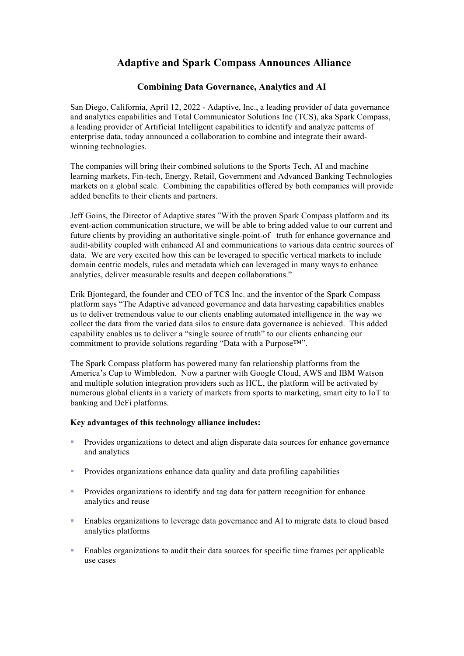# **Adaptive and Spark Compass Announces Alliance**

## **Combining Data Governance, Analytics and AI**

San Diego, California, April 12, 2022 - Adaptive, Inc., a leading provider of data governance and analytics capabilities and Total Communicator Solutions Inc (TCS), aka Spark Compass, a leading provider of Artificial Intelligent capabilities to identify and analyze patterns of enterprise data, today announced a collaboration to combine and integrate their awardwinning technologies.

The companies will bring their combined solutions to the Sports Tech, AI and machine learning markets, Fin-tech, Energy, Retail, Government and Advanced Banking Technologies markets on a global scale. Combining the capabilities offered by both companies will provide added benefits to their clients and partners.

Jeff Goins, the Director of Adaptive states "With the proven Spark Compass platform and its event-action communication structure, we will be able to bring added value to our current and future clients by providing an authoritative single-point-of –truth for enhance governance and audit-ability coupled with enhanced AI and communications to various data centric sources of data. We are very excited how this can be leveraged to specific vertical markets to include domain centric models, rules and metadata which can leveraged in many ways to enhance analytics, deliver measurable results and deepen collaborations."

Erik Bjontegard, the founder and CEO of TCS Inc. and the inventor of the Spark Compass platform says "The Adaptive advanced governance and data harvesting capabilities enables us to deliver tremendous value to our clients enabling automated intelligence in the way we collect the data from the varied data silos to ensure data governance is achieved. This added capability enables us to deliver a "single source of truth" to our clients enhancing our commitment to provide solutions regarding "Data with a Purpose™".

The Spark Compass platform has powered many fan relationship platforms from the America's Cup to Wimbledon. Now a partner with Google Cloud, AWS and IBM Watson and multiple solution integration providers such as HCL, the platform will be activated by numerous global clients in a variety of markets from sports to marketing, smart city to IoT to banking and DeFi platforms.

### **Key advantages of this technology alliance includes:**

- ! Provides organizations to detect and align disparate data sources for enhance governance and analytics
- ! Provides organizations enhance data quality and data profiling capabilities
- ! Provides organizations to identify and tag data for pattern recognition for enhance analytics and reuse
- ! Enables organizations to leverage data governance and AI to migrate data to cloud based analytics platforms
- ! Enables organizations to audit their data sources for specific time frames per applicable use cases